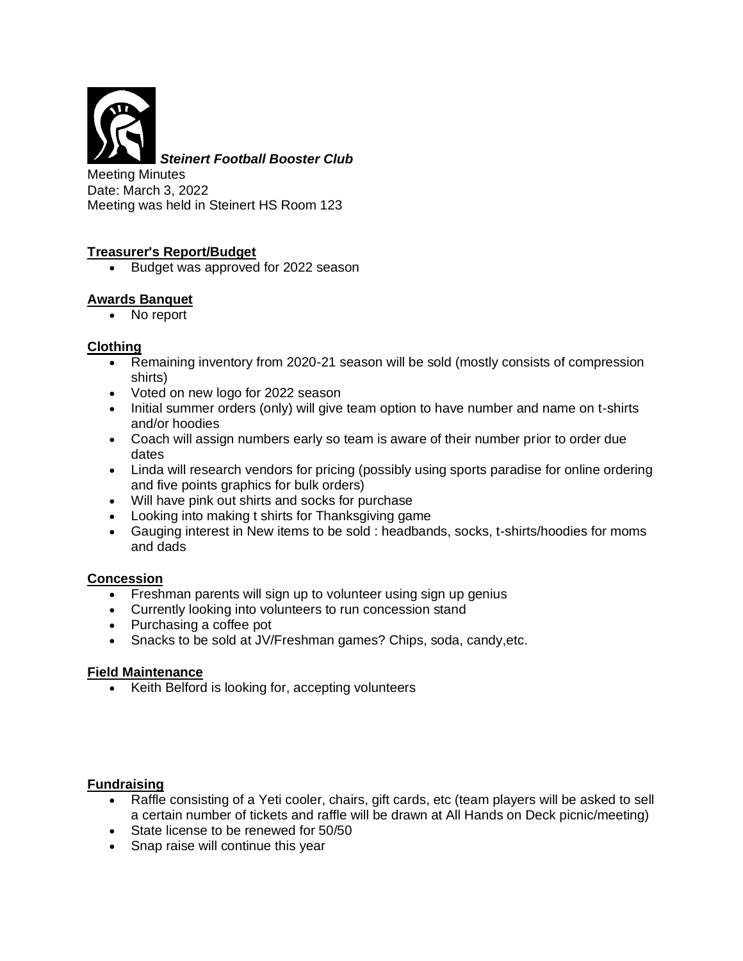

*Steinert Football Booster Club*

Meeting Minutes Date: March 3, 2022 Meeting was held in Steinert HS Room 123

## **Treasurer's Report/Budget**

• Budget was approved for 2022 season

## **Awards Banquet**

• No report

#### **Clothing**

- Remaining inventory from 2020-21 season will be sold (mostly consists of compression shirts)
- Voted on new logo for 2022 season
- Initial summer orders (only) will give team option to have number and name on t-shirts and/or hoodies
- Coach will assign numbers early so team is aware of their number prior to order due dates
- Linda will research vendors for pricing (possibly using sports paradise for online ordering and five points graphics for bulk orders)
- Will have pink out shirts and socks for purchase
- Looking into making t shirts for Thanksgiving game
- Gauging interest in New items to be sold : headbands, socks, t-shirts/hoodies for moms and dads

#### **Concession**

- Freshman parents will sign up to volunteer using sign up genius
- Currently looking into volunteers to run concession stand
- Purchasing a coffee pot
- Snacks to be sold at JV/Freshman games? Chips, soda, candy,etc.

#### **Field Maintenance**

• Keith Belford is looking for, accepting volunteers

#### **Fundraising**

- Raffle consisting of a Yeti cooler, chairs, gift cards, etc (team players will be asked to sell a certain number of tickets and raffle will be drawn at All Hands on Deck picnic/meeting)
- State license to be renewed for 50/50
- Snap raise will continue this year